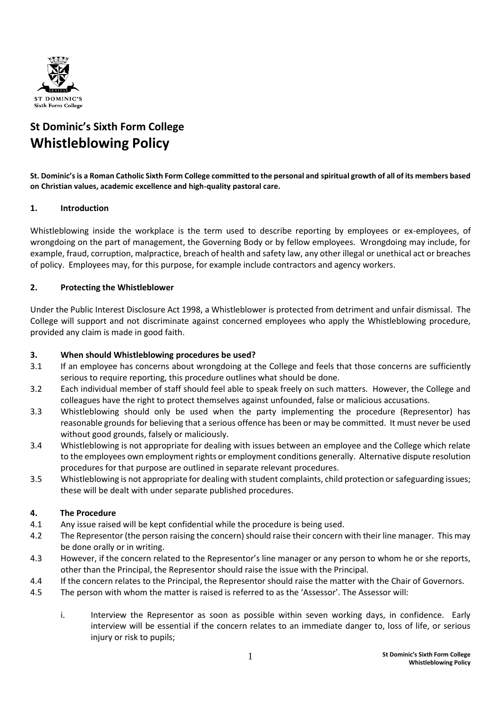

# **St Dominic's Sixth Form College Whistleblowing Policy**

**St. Dominic's is a Roman Catholic Sixth Form College committed to the personal and spiritual growth of all of its members based on Christian values, academic excellence and high-quality pastoral care.**

## **1. Introduction**

Whistleblowing inside the workplace is the term used to describe reporting by employees or ex-employees, of wrongdoing on the part of management, the Governing Body or by fellow employees. Wrongdoing may include, for example, fraud, corruption, malpractice, breach of health and safety law, any other illegal or unethical act or breaches of policy. Employees may, for this purpose, for example include contractors and agency workers.

## **2. Protecting the Whistleblower**

Under the Public Interest Disclosure Act 1998, a Whistleblower is protected from detriment and unfair dismissal. The College will support and not discriminate against concerned employees who apply the Whistleblowing procedure, provided any claim is made in good faith.

#### **3. When should Whistleblowing procedures be used?**

- 3.1 If an employee has concerns about wrongdoing at the College and feels that those concerns are sufficiently serious to require reporting, this procedure outlines what should be done.
- 3.2 Each individual member of staff should feel able to speak freely on such matters. However, the College and colleagues have the right to protect themselves against unfounded, false or malicious accusations.
- 3.3 Whistleblowing should only be used when the party implementing the procedure (Representor) has reasonable grounds for believing that a serious offence has been or may be committed. It must never be used without good grounds, falsely or maliciously.
- 3.4 Whistleblowing is not appropriate for dealing with issues between an employee and the College which relate to the employees own employment rights or employment conditions generally. Alternative dispute resolution procedures for that purpose are outlined in separate relevant procedures.
- 3.5 Whistleblowing is not appropriate for dealing with student complaints, child protection or safeguarding issues; these will be dealt with under separate published procedures.

#### **4. The Procedure**

- 4.1 Any issue raised will be kept confidential while the procedure is being used.
- 4.2 The Representor (the person raising the concern) should raise their concern with their line manager. This may be done orally or in writing.
- 4.3 However, if the concern related to the Representor's line manager or any person to whom he or she reports, other than the Principal, the Representor should raise the issue with the Principal.
- 4.4 If the concern relates to the Principal, the Representor should raise the matter with the Chair of Governors.
- 4.5 The person with whom the matter is raised is referred to as the 'Assessor'. The Assessor will:
	- i. Interview the Representor as soon as possible within seven working days, in confidence. Early interview will be essential if the concern relates to an immediate danger to, loss of life, or serious injury or risk to pupils;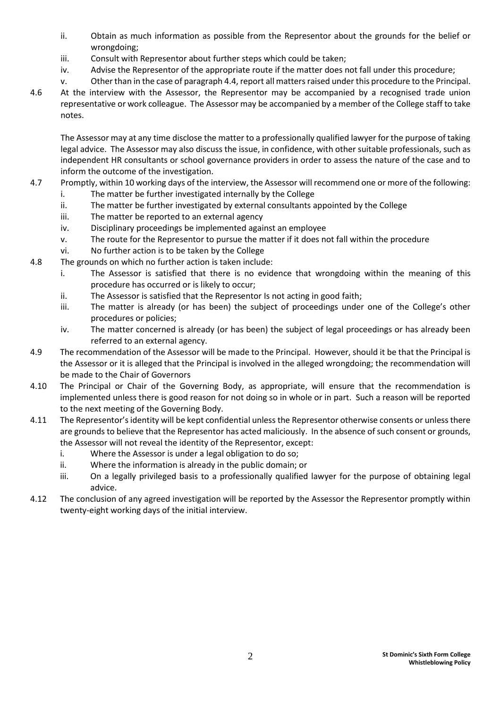- ii. Obtain as much information as possible from the Representor about the grounds for the belief or wrongdoing;
- iii. Consult with Representor about further steps which could be taken;
- iv. Advise the Representor of the appropriate route if the matter does not fall under this procedure;
- v. Other than in the case of paragraph 4.4, report all matters raised under this procedure to the Principal.
- 4.6 At the interview with the Assessor, the Representor may be accompanied by a recognised trade union representative or work colleague. The Assessor may be accompanied by a member of the College staff to take notes.

The Assessor may at any time disclose the matter to a professionally qualified lawyer for the purpose of taking legal advice. The Assessor may also discuss the issue, in confidence, with other suitable professionals, such as independent HR consultants or school governance providers in order to assess the nature of the case and to inform the outcome of the investigation.

- 4.7 Promptly, within 10 working days of the interview, the Assessor will recommend one or more of the following:
	- i. The matter be further investigated internally by the College
	- ii. The matter be further investigated by external consultants appointed by the College
	- iii. The matter be reported to an external agency
	- iv. Disciplinary proceedings be implemented against an employee
	- v. The route for the Representor to pursue the matter if it does not fall within the procedure
	- vi. No further action is to be taken by the College
- 4.8 The grounds on which no further action is taken include:
	- i. The Assessor is satisfied that there is no evidence that wrongdoing within the meaning of this procedure has occurred or is likely to occur;
	- ii. The Assessor is satisfied that the Representor Is not acting in good faith;
	- iii. The matter is already (or has been) the subject of proceedings under one of the College's other procedures or policies;
	- iv. The matter concerned is already (or has been) the subject of legal proceedings or has already been referred to an external agency.
- 4.9 The recommendation of the Assessor will be made to the Principal. However, should it be that the Principal is the Assessor or it is alleged that the Principal is involved in the alleged wrongdoing; the recommendation will be made to the Chair of Governors
- 4.10 The Principal or Chair of the Governing Body, as appropriate, will ensure that the recommendation is implemented unless there is good reason for not doing so in whole or in part. Such a reason will be reported to the next meeting of the Governing Body.
- 4.11 The Representor's identity will be kept confidential unless the Representor otherwise consents or unless there are grounds to believe that the Representor has acted maliciously. In the absence of such consent or grounds, the Assessor will not reveal the identity of the Representor, except:
	- i. Where the Assessor is under a legal obligation to do so;
	- ii. Where the information is already in the public domain; or
	- iii. On a legally privileged basis to a professionally qualified lawyer for the purpose of obtaining legal advice.
- 4.12 The conclusion of any agreed investigation will be reported by the Assessor the Representor promptly within twenty-eight working days of the initial interview.